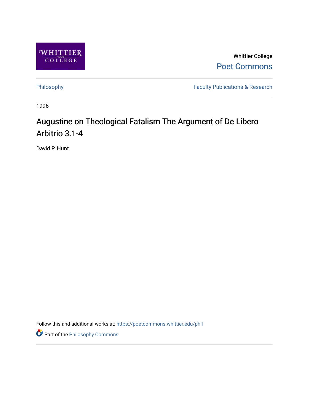

Whittier College [Poet Commons](https://poetcommons.whittier.edu/) 

[Philosophy](https://poetcommons.whittier.edu/phil) **Faculty Publications & Research** 

1996

# Augustine on Theological Fatalism The Argument of De Libero Arbitrio 3.1-4

David P. Hunt

Follow this and additional works at: [https://poetcommons.whittier.edu/phil](https://poetcommons.whittier.edu/phil?utm_source=poetcommons.whittier.edu%2Fphil%2F10&utm_medium=PDF&utm_campaign=PDFCoverPages)

**Part of the Philosophy Commons**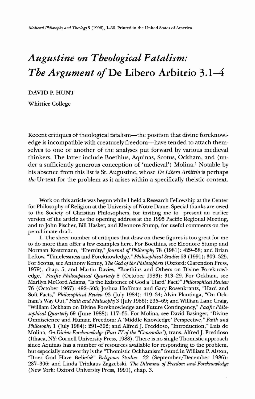# *Azlgzlstine on Theological Fatalism:*  **The Argument of De Libero Arbitrio 3.1–4**

#### DAVID P. HUNT

Whittier College

Recent critiques of theological fatalism-the position that divine foreknowledge is incompatible with creaturely freedom-have tended to attach themselves to one or another of the analyses put forward by various medieval thinkers. The latter include Boethius, Aquinas, Scotus, Ockham, and (under a sufficiently generous conception of 'medieval') Molina.1 Notable by his absence from this list is St. Augustine, whose *De Libero Arbitrio* is perhaps the Ur-text for the problem as it arises within a specifically theistic context.

Work on this article was begun while I held a Research Fellowship at the Center for Philosophy of Religion at the University of Notre Dame. Special thanks are owed to the Society of Christian Philosophers, for inviting me to present an earlier version of the article as the opening address at the 1995 Pacific Regional Meeting, and to John Fischer, Bill Hasker, and Eleonore Stump, for useful comments on the penultimate draft.

1. The sheer number of critiques that draw on these figures is too great for me to do more than offer a few examples here. For Boethius, see Eleonore Stump and Norman Kretzmann, "Eternity," *Journal of Philosophy* 78 (1981): 429-58; and Brian Leftow, "Timelessness and Foreknowledge," *Philosophical Studies* 63 (1991) : 309-325. For Scotus, see Anthony Kenny, *The God of the Philosophers* (Oxford: Clarendon Press, 1979), chap. 5; and Martin Davies, "Boethius and Others on Divine Foreknowledge," *Paci\$c Philosophical Quarter4* 8 (October 1983): 313-29. For Ockham, see Marilyn McCord Adams, "Is the Existence of God a 'Hard' Fact?" *Philosophical Reuiew*  76 (October 1967): 492-503; Joshua Hoffman and Gary Rosenkrantz, "Hard and Soft Facts," *Philosophical Review* 93 (July 1984): 419-34; Alvin Plantinga, "On Ockham's Way Out," *Faith and Philosophy* 3 (July 1986) : 235-69; and William Lane Craig, "William Ockham on Divine Foreknowledge and Future Contingency," *Pacific Philosophical Quarterly* 69 (June 1988) : 117-35. For Molina, see David Basinger, "Divine Omniscience and Human Freedom: A 'Middle Knowledge' Perspective," *Faith and Philosophy* 1 (July 1984): 291-302; and Alfred J. Freddoso, "Introduction," Luis de Molina, On Divine Foreknowledge (Part IV of the "Concordia"), trans. Alfred J. Freddoso (Ithaca, **NY:** Cornell University Press, 1988). There is no single Thomistic approach since Aquinas has a number of resources available for responding to the problem, but especially noteworthy is the "Thomistic Ockhamism" found in William P. Alston, "Does God Have Beliefs?" *Religious Studies* 22 (September/December 1986): 287-306; and Linda Trinkaus Zagzebski, *The Dilemma of Freedom and Fmeknowkdge*  (New York: Oxford University Press, 1991), chap. 3.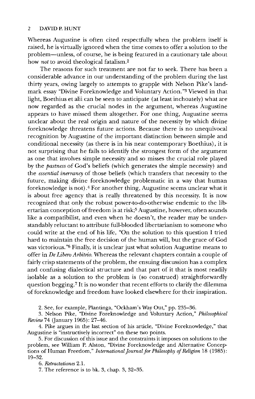Whereas Augustine is often cited respectfully when the problem itself is raised, he is virtually ignored when the time comes to offer a solution to the problem—unless, of course, he is being featured in a cautionary tale about how *not* to avoid theological fatalism.<sup>2</sup>

The reasons for such treatment are not far to seek. There has been a considerable advance in our understanding of the problem during the last thirty years, owing largely to attempts to grapple with Nelson Pike's land mark essay "Divine Foreknowledge and Voluntary Action."<sup>3</sup> Viewed in that light, Boethius et alii can be seen to anticipate (at least inchoately) what are now regarded as the crucial nodes in the argument, whereas Augustine appears to have missed them altogether. For one thing, Augustine seems unclear about the real origin and nature of the necessity by which divine foreknowledge threatens future actions. Because there is no unequivocal recognition by Augustine of the important distinction between simple and conditional necessity (as there is in his near contemporary Boethius), it is not surprising that he fails to identify the strongest form of the argument as one that involves simple necessity and so misses the crucial role played by the *pastness* of God's beliefs (which generates the simple necessity) and the *essential inerrancy* of those beliefs (which transfers that necessity to the future, making divine foreknowledge problematic in a way that human foreknowledge is not). <sup>4</sup> For another thing, Augustine seems unclear what it is about free agency that is really threatened by this necessity. It is now recognized that only the robust power-to-do-otherwise endemic to the lib ertarian conception of freedom is at risk;<sup>5</sup> Augustine, however, often sounds like a compatibilist, and even when he doesn't, the reader may be under standably reluctant to attribute full-blooded libertarianism to someone who could write at the end of his life, "On the solution to this question I tried hard to maintain the free decision of the human will, but the grace of God was victorious."<sup>6</sup> Finally, it is unclear just what solution Augustine means to offer in *De Libero Arbitήo.* Whereas the relevant chapters contain a couple of fairly crisp statements of the problem, the ensuing discussion has a complex and confusing dialectical structure and that part of it that is most readily isolable as a solution to the problem is (so construed) straightforwardly question begging.<sup>7</sup> It is no wonder that recent efforts to clarify the dilemma of foreknowledge and freedom have looked elsewhere for their inspiration.

2. See, for example, Plantinga, Όckham's Way Out," pp. 235-36.

3. Nelson Pike, "Divine Foreknowledge and Voluntary Action," *Philosophical Review* 74 (January 1965): 27-46.

4. Pike argues in the last section of his article, "Divine Foreknowledge," that Augustine is "instructively incorrect" on these two points.

5. For discussion of this issue and the constraints it imposes on solutions to the problem, see William P. Alston, "Divine Foreknowledge and Alternative Concep tions of Human Freedom," *International Journal for Philosophy of Religion* 18 (1985): 19-32.

6. *Retractationes2Λ.*

7. The reference is to bk. 3, chap. 3, 32-35.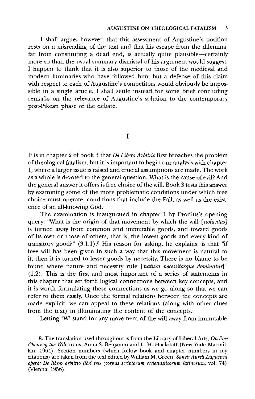I shall argue, however, that this assessment of Augustine's position rests on a misreading of the text and that his escape from the dilemma, far from constituting a dead end, is actually quite plausible—certainly more so than the usual summary dismissal of his argument would suggest. I happen to think that it is also superior to those of the medieval and modern luminaries who have followed him; but a defense of this claim with respect to each of Augustine's competitors would obviously be impos sible in a single article. I shall settle instead for some brief concluding remarks on the relevance of Augustine's solution to the contemporary post-Pikean phase of the debate.

 $\mathbf{I}$ 

It is in chapter 2 of book 3 that *De Libero Arbitήo* first broaches the problem of theological fatalism, but it is important to begin our analysis with chapter 1, where a larger issue is raised and crucial assumptions are made. The work as a whole is devoted to the general question, What is the cause of evil? And the general answer it offers is free choice of the will. Book 3 tests this answer by examining some of the more problematic conditions under which free choice must operate, conditions that include the Fall, as well as the exist ence of an all-knowing God.

The examination is inaugurated in chapter 1 by Evodius's opening query: "What is the origin of that movement by which the will *[uoluntas]* is turned away from common and immutable goods, and toward goods of its own or those of others, that is, the lowest goods and every kind of transitory good?" (3.1.1).<sup>8</sup> His reason for asking, he explains, is that "if free will has been given in such a way that this movement is natural to it, then it is turned to lesser goods by necessity. There is no blame to be found where nature and necessity rule *[natura necessitasque dominatur]"* (1.2). This is the first and most important of a series of statements in this chapter that set forth logical connections between key concepts, and it is worth formulating these connections as we go along so that we can refer to them easily. Once the formal relations between the concepts are made explicit, we can appeal to these relations (along with other clues from the text) in illuminating the content of the concepts.

Letting 'W' stand for any movement of the will away from immutable

8. The translation used throughout is from the Library of Liberal Arts, *On Free Choice of the Will,* trans. Anna S. Benjamin and L. H. Hackstaff (New York: Macmil lan, 1964). Section numbers (which follow book and chapter numbers in my citations) are taken from the text edited by William M. Green, *Sancti Aureli Augustini opera: De libero arbitήo libή tres (corpus sariptorum ecclesiasticorum latinorum,* vol. 74) (Vienna: 1956).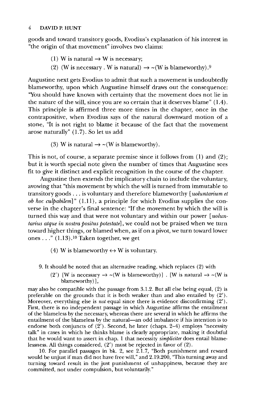### 4 DAVID P. HUNT

goods and toward transitory goods, Evodius's explanation of his interest in "the origin of that movement" involves two claims:

- (1) W is natural  $\rightarrow$  W is necessary;
- (2) (W is necessary . W is natural)  $\rightarrow \sim$  (W is blameworthy).<sup>9</sup>

Augustine next gets Evodius to admit that such a movement is undoubtedly blameworthy, upon which Augustine himself draws out the consequence: "You should have known with certainty that the movement does not lie in the nature of the will, since you are so certain that it deserves blame" (1.4). This principle is affirmed three more times in the chapter, once in the contrapositive, when Evodius says of the natural downward motion of a stone, "It is not right to blame it because of the fact that the movement arose naturally" (1.7). So let us add

(3) W is natural  $\rightarrow \sim$  (W is blameworthy).

This is not, of course, a separate premise since it follows from (1) and (2); but it is worth special note given the number of times that Augustine sees fit to give it distinct and explicit recognition in the course of the chapter.

Augustine then extends the implicatory chain to include the voluntary, avowing that "this movement by which the will is turned from immutable to transitory goods .. . is voluntary and therefore blameworthy *[uoluntaήum et ob hoc culpabilem]"* (1.11), a principle for which Evodius supplies the con verse in the chapter's final sentence: "If the movement by which the will is turned this way and that were not voluntary and within our power *[uoluntarius atque in nostra positus potestate*], we could not be praised when we turn toward higher things, or blamed when, as if on a pivot, we turn toward lower ones . . ."  $(1.13)$ .<sup>10</sup> Taken together, we get

- (4) W is blameworthy  $\leftrightarrow$  W is voluntary.
- 9. It should be noted that an alternative reading, which replaces (2) with
	- (2') [W is necessary  $\rightarrow \sim(W$  is blameworthy] . [W is natural  $\rightarrow \sim(W$  is blameworthy) ],

may also be compatible with the passage from 3.1.2. But all else being equal, (2) is preferable on the grounds that it is both weaker than and also entailed by  $(2')$ . Moreover, everything else is *not* equal since there is evidence disconfirming (2') First, there is no independent passage in which Augustine affirms the entailment of the blameless by the necessary, whereas there are several in which he affirms the entailment of the blameless by the natural—an odd imbalance if his intention is to endorse both conjuncts of (2'). Second, he later (chaps. 2-4) employs "necessity talk" in cases in which he thinks blame is clearly appropriate, making it doubtful that he would want to assert in chap. 1 that necessity *simpliάter* does entail blame lessness. All things considered, (2') must be rejected in favor of (2).

10. For parallel passages in bk. 2, see 2.1.7, "Both punishment and reward would be unjust if man did not have free will," and 2.19.200, "This turning away and turning toward result in the just punishment of unhappiness, because they are committed, not under compulsion, but voluntarily."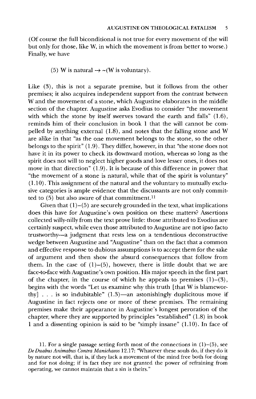(Of course the full biconditional is not true for every movement of the will but only for those, like W, in which the movement is from better to worse.) Finally, we have

(5) W is natural  $\rightarrow \sim(W$  is voluntary).

Like (3), this is not a separate premise, but it follows from the other premises; it also acquires independent support from the contrast between W and the movement of a stone, which Augustine elaborates in the middle section of the chapter. Augustine asks Evodius to consider "the movement with which the stone by itself swerves toward the earth and falls" (1.6), reminds him of their conclusion in book 1 that the will cannot be compelled by anything external (1.8), and notes that the falling stone and W are alike in that "as the one movement belongs to the stone, so the other belongs to the spirit" (1.9). They differ, however, in that "the stone does not have it in its power to check its downward motion, whereas so long as the spirit does not will to neglect higher goods and love lesser ones, it does not move in that direction"  $(1.9)$ . It is because of this difference in power that "the movement of a stone is natural, while that of the spirit is voluntary" (1.10). This assignment of the natural and the voluntary to mutually exclusive categories is ample evidence that the discussants are not only committed to  $(5)$  but also aware of that commitment.<sup>11</sup>

Given that  $(1)-(5)$  are securely grounded in the text, what implications does this have for Augustine's own position on these matters? Assertions collected willy-nilly from the text prove little: those attributed to Evodius are certainly suspect, while even those attributed to Augustine are not ipso facto trustworthy—a judgment that rests less on a tendentious deconstructive wedge between Augustine and "Augustine" than on the fact that a common and effective response to dubious assumptions is to accept them for the sake of argument and then show the absurd consequences that follow from them. In the case of  $(1)-(5)$ , however, there is little doubt that we are face-to-face with Augustine's own position. His major speech in the first part of the chapter, in the course of which he appeals to premises  $(1)-(3)$ , begins with the words "Let us examine why this truth [that W is blameworthy] ... is so indubitable"  $(1.3)$ —an astonishingly duplicitous move if Augustine in fact rejects one or more of these premises. The remaining premises make their appearance in Augustine's longest peroration of the chapter, where they are supported by principles "established" (1.8) in book 1 and a dissenting opinion is said to be "simply insane" (1.10). In face of

<sup>11.</sup> For a single passage setting forth most of the connections in  $(1)-(5)$ , see *De Duabus Animabus Contra Manichaeos* 12.17: "Whatever these souls do, if they do it by nature not will, that is, if they lack a movement of the mind free both for doing and for not doing; if in fact they are not granted the power of refraining from operating, we cannot maintain that a sin is theirs."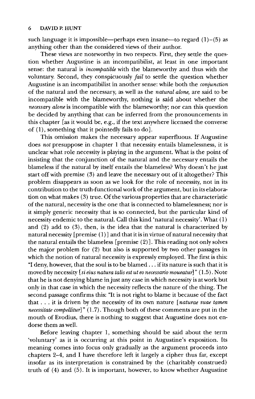such language it is impossible—perhaps even insane—to regard (l)-(5) as anything other than the considered views of their author.

These views are noteworthy in two respects. First, they settle the ques tion whether Augustine is an incompatibilist, at least in one important sense: the natural is *incompatible* with the blameworthy and thus with the voluntary. Second, they conspicuously *fail* to settle the question whether Augustine is an incompatibilist in another sense: while both the *conjunction* of the natural and the necessary, as well as the *natural alone,* are said to be incompatible with the blameworthy, nothing is said about whether the *necessary alone* is incompatible with the blameworthy; nor can this question be decided by anything that can be inferred from the pronouncements in this chapter [as it would be, e.g., if the text anywhere licensed the converse of (1), something that it pointedly fails to do].

This omission makes the necessary appear superfluous. If Augustine does *not* presuppose in chapter 1 that necessity entails blamelessness, it is unclear what role necessity is playing in the argument. What is the point of insisting that the conjunction of the natural and the necessary entails the blameless if the natural by itself entails the blameless? Why doesn't he just start off with premise (3) and leave the necessary out of it altogether? This problem disappears as soon as we look for the role of necessity, not in its contribution to the truth-functional work of the argument, but in its elabora tion on what makes (3) true. Of the various properties that are characteristic of the natural, necessity is the one that is connected to blamelessness; nor is it simply generic necessity that is so connected, but the particular kind of necessity endemic to the natural. Call this kind 'natural necessity'. What (1) and (2) add to (3), then, is the idea that the natural is characterized by natural necessity [premise (1) ] and that it is in virtue of natural necessity that the natural entails the blameless [premise (2) ]. This reading not only solves the major problem for (2) but also is supported by two other passages in which the notion of natural necessity is expressly employed. The first is this: "I deny, however, that the soul is to be blamed ... if its nature is such that it is moved by necessity *[si eius natura talis est ut eo necessaήo moueatur]* "(1.5). Note that he is not denying blame in just any case in which necessity is at work but only in that case in which the necessity reflects the nature of the thing. The second passage confirms this: "It is not right to blame it because of the fact that .. . it is driven by the necessity of its own nature *[naturae suae tamen necessitate compellitur]*" (1.7). Though both of these comments are put in the mouth of Evodius, there is nothing to suggest that Augustine does not en dorse them as well.

Before leaving chapter 1, something should be said about the term 'voluntary' as it is occurring at this point in Augustine's exposition. Its meaning comes into focus only gradually as the argument proceeds into chapters 2-4, and I have therefore left it largely a cipher thus far, except insofar as its interpretation is constrained by the (charitably construed) truth of (4) and (5). It is important, however, to know whether Augustine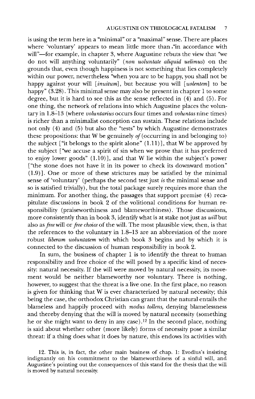is using the term here in a "minimal" or a "maximal" sense. There are places where 'voluntary' appears to mean little more than ."in accordance with will"—for example, in chapter 3, where Augustine rebuts the view that "we do not will anything voluntarily" *(non uoluntate aliquid uelimus)* on the grounds that, even though happiness is not something that lies completely within our power, nevertheless "when you are to be happy, you shall not be happy against your will *[inuitum],* but because you will *[uolentem]* to be happy" (3.28). This minimal sense may also be present in chapter 1 to some degree, but it is hard to see this as the sense reflected in (4) and (5). For one thing, the network of relations into which Augustine places the volun tary in 1.8-13 (where *voluntaήus* occurs four times and *voluntas* nine times) is richer than a minimalist conception can sustain. These relations include not only (4) and (5) but also the "tests" by which Augustine demonstrates these propositions: that W be genuinely *of* (occurring in and belonging to) the subject ["it belongs to the spirit alone"  $(1.11)$ ], that W be approved by the subject ["we accuse a spirit of sin when we prove that it has preferred to enjoy lower goods"  $(1.10)$ ], and that W lie within the subject's power ["the stone does not have it in its power to check its downward motion" (1.9)]. One or more of these strictures may be satisfied by the minimal sense of 'voluntary' (perhaps the second test just *is* the minimal sense and so is satisfied trivially), but the total package surely requires more than the minimum. For another thing, the passages that support premise (4) reca pitulate discussions in book 2 of the volitional conditions for human re sponsibility (praiseworthiness and blameworthiness). Those discussions, more consistently than in book 3, identify what is at stake not just as *willbut* also as *free* will or *free choice oί* the will. The most plausible view, then, is that the references to the voluntary in 1.8-13 are an abbreviation of the more robust *liberam uoluntatem* with which book 3 begins and by which it is connected to the discussion of human responsibility in book 2.

In sum, the business of chapter 1 is to identify the threat to human responsibility and free choice of the will posed by a specific kind of neces sity: natural necessity. If the will were moved by natural necessity, its move ment would be neither blameworthy nor voluntary. There is nothing, however, to suggest that the threat is a live one. In the first place, no reason is given for thinking that W is ever characterized by natural necessity; this being the case, the orthodox Christian can grant that the natural entails the blameless and happily proceed with *modus tollens,* denying blamelessness and thereby denying that the will is moved by natural necessity (something he or she might want to deny in any case).<sup>12</sup> In the second place, nothing is said about whether other (more likely) forms of necessity pose a similar threat: if a thing does what it does by nature, this endows its activities with

<sup>12.</sup> This is, in fact, the other main business of chap. 1: Evodius's insisting indignantly on his commitment to the blameworthiness of a sinful will, and Augustine's pointing out the consequences of this stand for the thesis that the will is moved by natural necessity.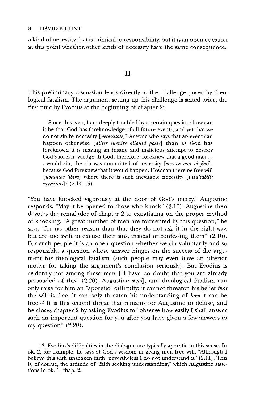a kind of necessity that is inimical to responsibility, but it is an open question at this point whether, other kinds of necessity have the same consequence.

# **II**

This preliminary discussion leads directly to the challenge posed by theological fatalism. The argument setting up this challenge is stated twice, the first time by Evodius at the beginning of chapter 2:

Since this is so, I am deeply troubled by a certain question: how can it be that God has foreknowledge of all future events, and yet that we do not sin by necessity *[necessitate]?* Anyone who says that an event can happen otherwise *[aliter euenire aliquid posse]* than as God has foreknown it is making an insane and malicious attempt to destroy God's foreknowledge. If God, therefore, foreknew that a good man . . . would sin, the sin was committed of necessity *[necesse erat id fieri],* because God foreknew that it would happen. How can there be free will *[uoluntas libera]* where there is such inevitable necessity *[ineuitabilis necessitas]}* (2.14-15)

"You have knocked vigorously at the door of God's mercy," Augustine responds. "May it be opened to those who knock" (2.16). Augustine then devotes the remainder of chapter 2 to expatiating on the proper method of knocking. "A great number of men are tormented by this question," he says, "for no other reason than that they do not ask it in the right way, but are too swift to excuse their sins, instead of confessing them" (2.16). For such people it is an open question whether we sin voluntarily and so responsibly, a question whose answer hinges on the success of the argument for theological fatalism (such people may even have an ulterior motive for taking the argument's conclusion seriously). But Evodius is evidently not among these men ["I have no doubt that you are already persuaded of this" (2.20), Augustine says], and theological fatalism can only raise for him an "aporetic" difficulty: it cannot threaten his belief *that* the will is free, it can only threaten his understanding of *how* it can be free.<sup>13</sup> It is this second threat that remains for Augustine to defuse, and he closes chapter 2 by asking Evodius to "observe how easily I shall answer such an important question for you after you have given a few answers to my question" (2.20).

13. Evodius's difficulties in the dialogue are typically aporetic in this sense. In bk. 2, for example, he says of God's wisdom in giving men free will, "Although I believe this with unshaken faith, nevertheless I do not understand it" (2.11). This is, of course, the attitude of "faith seeking understanding," which Augustine sanctions in bk. 1, chap. 2.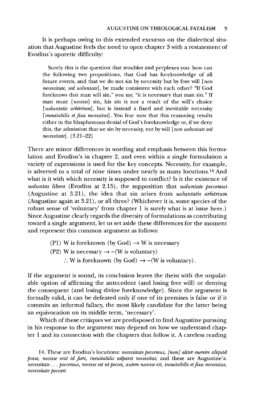It is perhaps owing to this extended excursus on the dialectical situ ation that Augustine feels the need to open chapter 3 with a restatement of Evodius's aporetic difficulty:

Surely this is the question that troubles and perplexes you: how can the following two propositions, that God has foreknowledge of all future events, and that we do not sin by necessity but by free will *[non necessitate, sed uoluntate]*, be made consistent with each other? "If God foreknows that man will sin," you say, "it is necessary that man sin." If man must *[necesse]* sin, his sin is not a result of the will's choice [uoluntatis arbitrium], but is instead a fixed and inevitable necessity *[ineuitabilis et fixa necessitas].* You fear now that this reasoning results either in the blasphemous denial of God's foreknowledge or, if we deny this, the admission that we sin by necessity, not by will *[non uoluntate sed necessitate].* (3.21-22)

There are minor differences in wording and emphasis between this formu lation and Evodius's in chapter 2, and even within a single formulation a variety of expressions is used for the key concepts. Necessity, for example, is adverted to a total of nine times under nearly as many locutions.<sup>14</sup> And what is it with which necessity is supposed to conflict? Is it the existence of *uoluntas libera* (Evodius at 2.15), the supposition that *uoluntate peccemus* (Augustine at 3.21), the idea that sin arises from *uoluntatis arbitήum* (Augustine again at 3.21), or all three? (Whichever it is, some species of the robust sense of 'voluntary' from chapter 1 is surely what is at issue here.) Since Augustine clearly regards the diversity of formulations as contributing toward a single argument, let us set aside these differences for the moment and represent this common argument as follows:

- (P1) W is foreknown (by God)  $\rightarrow$  W is necessary
- (P2) W is necessary  $\rightarrow \sim(W$  is voluntary)
	- $\therefore$  W is foreknown (by God)  $\rightarrow \sim(W$  is voluntary).

If the argument is sound, its conclusion leaves the theist with the unpalat able option of affirming the antecedent (and losing free will) or denying the consequent (and losing divine foreknowledge). Since the argument is formally valid, it can be defeated only if one of its premises is false or if it commits an informal fallacy, the most likely candidate for the latter being an equivocation on its middle term, 'necessary'.

Which of these critiques we are predisposed to find Augustine pursuing in his response to the argument may depend on how we understand chap ter 1 and its connection with the chapters that follow it. A careless reading

14. These are Evodius's locutions: *necessitate peccemus, [non] aliter euenire aliquid posse, necesse erat id fieri, ineuitabilis adparet necessitas',* and these are Augustine's: *necessitate.* . . *peccemus, necesse est ut peccet, autem necesse est, ineuitabilis etfixa necessitas, necessitate peccaή.*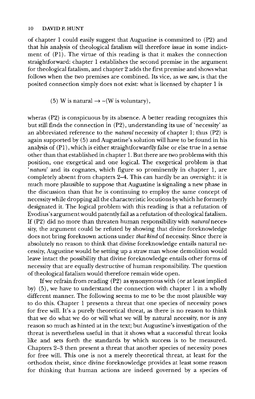of chapter 1 could easily suggest that Augustine is committed to (P2) and that his analysis of theological fatalism will therefore issue in some indictment of (PI). The virtue of this reading is that it makes the connection straightforward: chapter 1 establishes the second premise in the argument for theological fatalism, and chapter 2 adds the first premise and shows what follows when the two premises are combined. Its vice, as we saw, is that the posited connection simply does not exist: what is licensed by chapter 1 is

(5) W is natural  $\rightarrow \sim(W$  is voluntary),

wheras (P2) is conspicuous by its absence. A better reading recognizes this but still finds the connection in (P2), understanding its use of'necessity' as an abbreviated reference to the *natural* necessity of chapter 1; thus (P2) is again supported by (5) and Augustine's solution will have to be found in his analysis of (PI), which is either straightforwardly false or else true in a sense other than that established in chapter 1. But there are two problems with this position, one exegetical and one logical. The exegetical problem is that *'natura* and its cognates, which figure so prominently in chapter 1, are completely absent from chapters 2-4. This can hardly be an oversight: it is much more plausible to suppose that Augustine is signaling a new phase in the discussion than that he is continuing to employ the same concept of necessity while dropping all the characteristic locutions by which he formerly designated it. The logical problem with this reading is that a refutation of Evodius's argument would patently fail as a refutation of theological fatalism. If (P2) did no more than threaten human responsibility with *natural* necessity, the argument could be refuted by showing that divine foreknowledge does not bring foreknown actions under *that kind* of necessity. Since there is absolutely no reason to think that divine foreknowledge entails natural necessity, Augustine would be setting up a straw man whose demolition would leave intact the possibility that divine foreknowledge entails other forms of necessity that are equally destructive of human responsibility. The question of theological fatalism would therefore remain wide open.

If we refrain from reading (P2) as synonymous with (or at least implied by) (5), we have to understand the connection with chapter 1 in a wholly different manner. The following seems to me to be the most plausible way to do this. Chapter 1 presents a threat that one species of necessity poses for free will. It's a purely theoretical threat, as there is no reason to think that we do what we do or will what we will by natural necessity, nor is any reason so much as hinted at in the text; but Augustine's investigation of the threat is nevertheless useful in that it shows what a successful threat looks like and sets forth the standards by which success is to be measured. Chapters 2-3 then present a threat that another species of necessity poses for free will. This one is not a merely theoretical threat, at least for the orthodox theist, since divine foreknowledge provides at least some reason for thinking that human actions are indeed governed by a species of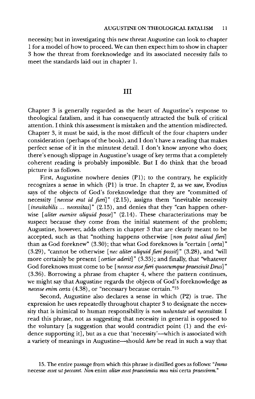necessity; but in investigating this new threat Augustine can look to chapter 1 for a model of how to proceed. We can then expect him to show in chapter 3 how the threat from foreknowledge and its associated necessity fails to meet the standards laid out in chapter 1.

# **Ill**

Chapter 3 is generally regarded as the heart of Augustine's response to theological fatalism, and it has consequently attracted the bulk of critical attention. I think this assessment is mistaken and the attention misdirected. Chapter 3, it must be said, is the most difficult of the four chapters under consideration (perhaps of the book), and I don't have a reading that makes perfect sense of it in the minutest detail. I don't know anyone who does; there's enough slippage in Augustine's usage of key terms that a completely coherent reading is probably impossible. But I do think that the broad picture is as follows.

First, Augustine nowhere denies (PI); to the contrary, he explicitly recognizes a sense in which (PI) is true. In chapter 2, as we saw, Evodius says of the objects of God's foreknowledge that they are "committed of necessity *[necesse erat id fieri]"* (2.15), assigns them "inevitable necessity *[ineuitabilis* ... *necessitas]"* (2.15), and denies that they "can happen other wise *[aliter euenire aliquid posse]"* (2.14). These characterizations may be suspect because they come from the initial statement of the problem; Augustine, however, adds others in chapter 3 that are clearly meant to be accepted, such as that "nothing happens otherwise *[non potest aliud fieri]* than as God foreknew" (3.30); that what God foreknows is "certain *[certά]"* (3.29), "cannot be otherwise *[nee aliter aliquid fieri possit]"* (3.28), and "will more certainly be present [ *certior aderit]*" (3.35); and finally, that "whatever God foreknows must come to be [necesse esse fieri quaecumque praesciuit Deus]" (3.36). Borrowing a phrase from chapter 4, where the pattern continues, we might say that Augustine regards the objects of God's foreknowledge as *necesse enim certa* (4.38), or "necessary because certain."<sup>15</sup>

Second, Augustine also declares a sense in which (P2) is true. The expression he uses repeatedly throughout chapter 3 to designate the neces sity that is inimical to human responsibility is *non uoluntate sed necessitate,* I read this phrase, not as suggesting that necessity in general is opposed to the voluntary [a suggestion that would contradict point (1) and the evi dence supporting it], but as a cue that 'necessity'—which is associated with a variety of meanings in Augustine—should *here* be read in such a way that

15. The entire passage from which this phrase is distilled goes as follows: *"Immo* necesse esset ut peccaret. Non enim aliter esset praescientia mea nisi certa praescirem."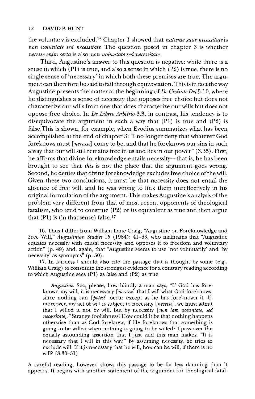the voluntary is excluded.<sup>16</sup> Chapter 1 showed that *naturae suae necessitate* is *non uoluntate sed necessitate.* The question posed in chapter 3 is whether *necesse enim certa* is also *non uoluntate sed necessitate.*

Third, Augustine's answer to this question is negative: while there is a sense in which  $(PI)$  is true, and also a sense in which  $(P2)$  is true, there is no single sense of 'necessary' in which both these premises are true. The argu ment can therefore be said to fail through equivocation. This is in fact the way Augustine presents the matter at the beginning of *De CivitateDei* 5.10, where he distinguishes a sense of necessity that opposes free choice but does not characterize our wills from one that does characterize our wills but does not oppose free choice. In *De Libero Arbitήo* 3.3, in contrast, his tendency is to disequivocate the argument in such a way that (PI) is true and (P2) is false .This is shown, for example, when Evodius summarizes what has been accomplished at the end of chapter 3: "I no longer deny that whatever God foreknows must *[necesse]* come to be, and that he foreknows our sins in such a way that our will still remains free in us and lies in our power" (3.35). First, he affirms that divine foreknowledge entails necessity—that is, he has been brought to see that *this* is not the place that the argument goes wrong. Second, he denies that divine foreknowledge excludes free choice of the will. Given these two conclusions, it must be that necessity does not entail the absence of free will, and he was wrong to link them unreflectively in his original formulation of the argument. This makes Augustine's analysis of the problem very different from that of most recent opponents of theological fatalism, who tend to construe (P2) or its equivalent as true and then argue that  $(P1)$  is (in that sense) false.<sup>17</sup>

16. Thus I differ from William Lane Craig, "Augustine on Foreknowledge and Free Will," *Augustinian Studies* 15 (1984): 41-63, who maintains that "Augustine equates necessity with causal necessity and opposes it to freedom and voluntary action" (p. 49) and, again, that "Augustine seems to use 'not voluntarily' and 'by necessity' as synonyms" (p. 50).

17. In fairness I should also cite the passage that is thought by some (e.g., William Craig) to constitute the strongest evidence for a contrary reading according to which Augustine sees (PI) as false and (P2) as true:

*Augustine.* See, please, how blindly a man says, "If God has fore known my will, it is necessary *[necesse]* that I will what God foreknows, since nothing can *[potest]* occur except as he has foreknown it. If, moreover, my act of will is subject to necessity *[necesse],* we must admit that I willed it not by will, but by necessity *[non iam uoluntate, sed necessitate]*." Strange foolishness! How could it be that nothing happens otherwise than as God foreknew, if He foreknows that something is going to be willed when nothing is going to be willed? I pass over the equally astounding assertion that I just said this man makes: "It is necessary that I will in this way." By assuming necessity, he tries to exclude will. If it is necessary that he will, how can he will, if there is no will? (3.30-31)

A careful reading, however, shows this passage to be far less damning than it appears. It begins with another statement of the argument for theological fatal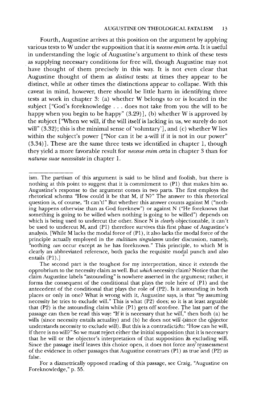Fourth, Augustine arrives at this position on the argument by applying various tests to W under the supposition that it is *necesse enim certa.* It is useful in understanding the logic of Augustine's argument to think of these tests as supplying necessary conditions for free will, though Augustine may not have thought of them precisely in this way. It is not even clear that Augustine thought of them as *distinct* tests: at times they appear to be distinct, while at other times the distinctions appear to collapse. With this caveat in mind, however, there should be little harm in identifying three tests at work in chapter 3: (a) whether W belongs to or is located in the subject ["God's foreknowledge . . . does not take from you the will to be happy when you begin to be happy" (3.29) ], (b) whether W is approved by the subject ["When we will, if the will itself is lacking in us, we surely do not will"  $(3.32)$ ; this is the minimal sense of 'voluntary'], and  $(c)$  whether W lies within the subject's power ["Nor can it be a will if it is not in our power" (3.34)]. These are the same three tests we identified in chapter 1, though they yield a more favorable result for *necesse enim certa* in chapter 3 than for *naturae suae necessitate* in chapter 1.

The second part is the toughest for my interpretation, since it extends the opprobrium to the necessity claim as well. But *which* necessity claim? Notice that the claim Augustine labels "astounding" is nowhere asserted in the argument; rather, it forms the consequent of the conditional that plays the role here of (PI) and the antecedent of the conditional that plays the role of (P2). Is it astounding in both places or only in one? What is wrong with it, Augustine says, is that "by assuming necessity he tries to exclude will." This is what (P2) does; so it is at least arguable that (P2) is the astounding claim while (PI) gets off scot-free. The last part of the passage can then be read this way: "If it is necessary that he wilί," then both (a) he wills (since necessity entails actuality) and (b) he does not will (since the objector understands necessity to exclude will). But this is a contradiction: "How can he will, if there is no will?" So we must reject either the initial supposition that it is necessary that he will or the objector's interpretation of that supposition as excluding will. Since the passage itself leaves this choice open, it does not force any reassessment of the evidence in other passages that Augustine construes (PI) as true and (P2) as false.

For a diametrically opposed reading of this passage, see Craig, "Augustine on Foreknowledge," p. 55.

ism. The partisan of this argument is said to be blind and foolish, but there is nothing at this point to suggest that it is commitment to (PI) that makes him so. Augustine's response to the argument comes in two parts. The first employs the rhetorical schema "How could it be that M, if N?" The answer to this rhetorical question is, of course, "It can't!" But whether this answer counts against M ("noth ing happens otherwise than as God foreknew") or against N ("He foreknows that something is going to be willed when nothing is going to be willed") depends on which is being used to undercut the other. Since N is *clearly* objectionable, it can't be used to undercut M, and (PI) therefore survives this first phase of Augustine's analysis. [While M lacks the modal force of (PI), it also lacks the modal force of the principle actually employed in the *stultitiam singularem* under discussion, namely, "nothing *can* occur except as he has foreknown." This principle, to which M is clearly an abbreviated reference, both packs the requisite modal punch and also entails (PI).] ' *'*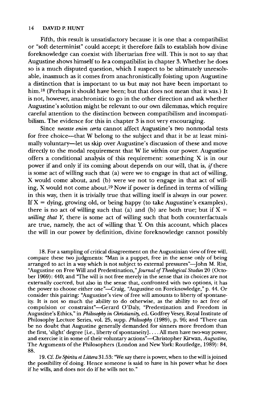#### 14 DAVID P. HUNT

Fifth, this result is unsatisfactory because it is one that a compatibilist or "soft determinist" could accept; it therefore fails to establish how divine foreknowledge can coexist with libertarian free will. This is not to say that Augustine shows himself to *be* a compatibilist in chapter 3. Whether he does so is a much disputed question, which I suspect to be ultimately unresolvable, inasmuch as it comes from anachronistically foisting upon Augustine a distinction that is important to us but may not have been important to him.<sup>18</sup> (Perhaps it should have been; but that does not mean that it was.) It is not, however, anachronistic to go in the other direction and ask whether Augustine's solution might be relevant to our own dilemmas, which require careful attention to the distinction between compatibilism and incompati bilism. The evidence for this in chapter 3 is not very encouraging.

Since *necesse enim certa* cannot affect Augustine's two nonmodal tests for free choice—that W belong to the subject and that it be at least mini mally voluntary—let us skip over Augustine's discussion of these and move directly to the modal requirement that W lie within our power. Augustine offers a conditional analysis of this requirement: something X is in our power if and only if its coming about depends on our will, that is, *if* there is some act of willing such that (a) were we to engage in that act of willing, X would come about, and (b) were we not to engage in that act of will ing, X would not come about.<sup>19</sup> Now if power is defined in terms of willing in this way, then it is trivially true that willing itself is always in our power. If  $X =$  dying, growing old, or being happy (to take Augustine's examples), there is no act of willing such that (a) and (b) are both true; but if  $X =$ *willing that Y*, there is some act of willing such that both counterfactuals are true, namely, the act of willing that Y. On this account, which places the will in our power by definition, divine foreknowledge cannot possibly

18. For a sampling of critical disagreement on the Augustinian view of free will, compare these two judgments: "Man is a puppet, free in the sense only of being arranged to act in a way which is not subject to external pressures"—John M. Rist, "Augustine on Free Will and Predestination," *Journal ofTheological Studies* 20 (Octo ber 1969): 440; and 'The will is not free merely in the sense that its choices are not externally coerced, but also in the sense that, confronted with two options, it has the power to choose either one"—Craig, "Augustine on Foreknowledge," p. 44. Or consider this pairing: "Augustine's view of free will amounts to liberty of spontane ity. It is not so much the ability to do otherwise, as the ability to act free of compulsion or constraint"—Gerard O'Daly, "Predestination and Freedom in Augustine's Ethics," in Philosophy in Christianity, ed. Godfrey Vesey, Royal Institute of Philosophy Lecture Series, vol. 25, supp. *Philosophy* (1989), p. 96; and "There can be no doubt that Augustine generally demanded for sinners more freedom than the first, 'slight' degree [i.e., liberty of spontaneity].... All men have two-way power, and exercise it in some of their voluntary actions"—Christopher Kir wan, *Augustine,* The Arguments of the Philosophers (London and New York: Routledge, 1989): 84, 88.

19. Cf. *De Spiήtu et Littera* 31.53: "We say there is power, when to the will is joined the possibility of doing. Hence someone is said to have in his power what he does if he wills, and does not do if he wills not to."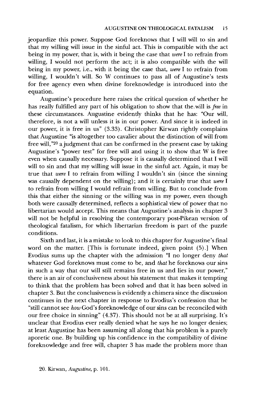jeopardize this power. Suppose God foreknows that I will will to sin and that my willing will issue in the sinful act. This is compatible with the act being in my power, that is, with it being the case that *were* I to refrain from willing, I would not perform the act; it is also compatible with the will being in my power, i.e., with it being the case that, *were* I to refrain from willing, I wouldn't will. So W continues to pass all of Augustine's tests for free agency even when divine foreknowledge is introduced into the equation.

Augustine's procedure here raises the critical question of whether he has really fulfilled any part of his obligation to show that the.will *is free* in these circumstances. Augustine evidently thinks that he has: "Our will, therefore, is not a will unless it is in our power. And since it is indeed in our power, it is free in us" (3.33). Christopher Kirwan rightly complains that Augustine "is altogether too cavalier about the distinction of will from free will,"<sup>20</sup> a judgment that can be confirmed in the present case by taking Augustine's "power test" for free will and using it to show that  $\hat{W}$  is free even when causally necessary. Suppose it is causally determined that I will will to sin and that my willing will issue in the sinful act. Again, it may be true that *were* I to refrain from willing I wouldn't sin (since the sinning was causally dependent on the willing); and it is certainly true that were I to refrain from willing I would refrain from willing. But to conclude from this that either the sinning or the willing was in my power, even though both were causally determined, reflects a sophistical view of power that no libertarian would accept. This means that Augustine's analysis in chapter 3 will not be helpful in resolving the contemporary post-Pikean version of theological fatalism, for which libertarian freedom is part of the puzzle conditions.

Sixth and last, it is a mistake to look to this chapter for Augustine's final word on the matter. [This is fortunate indeed, given point (5).] When Evodius sums up the chapter with the admission "I no longer deny *that* whatever God foreknows must come to be, and *that* he foreknows our sins in such a way that our will still remains free in us and lies in our power," there is an air of conclusiveness about his statement that makes it tempting to think that the problem has been solved and that it has been solved in chapter 3. But the conclusiveness is evidently a chimera since the discussion continues in the next chapter in response to Evodius's confession that he "still cannot see *how* God's foreknowledge of our sins can be reconciled with our free choice in sinning" (4.37). This should not be at all surprising. It's unclear that Evodius ever really denied what he says he no longer denies; at least Augustine has been assuming all along that his problem is a purely aporetic one. By building up his confidence in the compatibility of divine foreknowledge and free will, chapter 3 has made the problem more than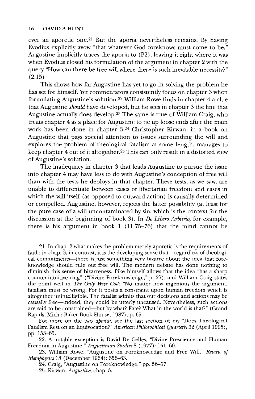ever an aporetic one.<sup>21</sup> But the aporia nevertheless remains. By having Evodius explicitly avow "that whatever God foreknows must come to be," Augustine implicitly traces the aporia to (P2), leaving it right where it was when Evodius closed his formulation of the argument in chapter 2 with the query "How can there be free will where there is such inevitable necessity?" (2.15)

This shows how far Augustine has yet to go in solving the problem he has set for himself. Yet commentators consistently focus on chapter 3 when formulating Augustine's solution.<sup>22</sup> William Rowe finds in chapter 4 a clue that Augustine *should* have developed, but he sees in chapter 3 the line that Augustine actually does develop.<sup>23</sup> The same is true of William Craig, who treats chapter 4 as a place for Augustine to tie up loose ends after the main work has been done in chapter 3.<sup>24</sup> Christopher Kirwan, in a book on Augustine that pays special attention to issues surrounding the will and explores the problem of theological fatalism at some length, manages to keep chapter 4 out of it altogether.<sup>25</sup> This can only result in a distorted view of Augustine's solution.

The inadequacy in chapter 3 that leads Augustine to pursue the issue into chapter 4 may have less to do with Augustine's conception of free will than with the tests he deploys in that chapter. These tests, as we saw, are unable to differentiate between cases of libertarian freedom and cases in which the will itself (as opposed to outward action) is causally determined or compelled. Augustine, however, rejects the latter possibility (at least for the pure case of a will uncontaminated by sin, which is the context for the discussion at the beginning of book 3). In *De Libero Arbitήo,* for example, there is his argument in book 1 (11.75-76) that the mind cannot be

21. In chap. 2 what makes the problem merely aporetic is the requirements of faith; in chap. 3, in contrast, it is the developing sense that—regardless of theologi cal commitments—there is just something very bizarre about the idea that fore knowledge should rule out free will. The modern debate has done nothing to diminish this sense of bizarreness. Pike himself allows that the idea "has a sharp counter-intuitive ring" ("Divine Foreknowledge," p. 27), and William Craig states the point well in *The Only Wise God:* "No matter how ingenious the argument, fatalism must be wrong. For it posits a constraint upon human freedom which is altogether unintelligible. The fatalist admits that our decisions and actions may be causally free—indeed, they could be utterly uncaused. Nevertheless, such actions are said to be constrained—but by what? Fate? What in the world is that?" (Grand Rapids, Mich.: Baker Book House, 1987), p. 69.

For more on the two *apoήai,* see the last section of my "Does Theological Fatalism Rest on an Equivocation?" American Philosophical Quarterly 32 (April 1995), pp. 153-65.

22. A notable exception is David De Celles, "Divine Prescience and Human Freedom in Augustine," *Augustinian Studies* 8 (1977): 151-60.

23. William Rowe, "Augustine on Foreknowledge and Free Will," *Review of Metaphysics* 18 (December 1964): 356-63.

24. Craig, "Augustine on Foreknowledge," pp. 56-57.

25. Kirwan, *Augustine,* chap. 5.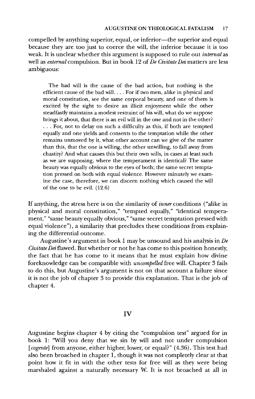compelled by anything superior, equal, or inferior—the superior and equal because they are too just to coerce the will, the inferior because it is too weak. It is unclear whether this argument is supposed to rule out *internal* as well as *external* compulsion. But in book 12 of  $\overrightarrow{De}$  *Civitate Dei* matters are less ambiguous:

The bad will is the cause of the bad action, but nothing is the efficient cause of the bad will. . . . For if two men, alike in physical and moral constitution, see the same corporal beauty, and one of them is excited by the sight to desire an illicit enjoyment while the other steadfastly maintains a modest restraint of his will, what do we suppose brings it about, that there is an evil will in the one and not in the other? . . . For, not to delay on such a difficulty as this, if both are tempted equally and one yields and consents to the temptation while the other remains unmoved by it, what other account can we give of the matter than this, that the one is willing, the other unwilling, to fall away from chastity? And what causes this but their own wills, in cases at least such as we are supposing, where the temperament is identical? The same beauty was equally obvious to the eyes of both; the same secret temptation pressed on both with equal violence. However minutely we examine the case, therefore, we can discern nothing which caused the will of the one to be evil. (12.6)

If anything, the stress here is on the similarity of *inner* conditions ("alike in physical and moral constitution," "tempted equally," "identical temperament," "same beauty equally obvious," "same secret temptation pressed with equal violence"), a similarity that precludes these conditions from explaining the differential outcome.

Augustine's argument in book 1 may be unsound and his analysis in *De CivitateDei* flawed. But whether or not he has come to this position honestly, the fact that he has come to it means that he must explain how divine foreknowledge can be compatible with *uncompelled* free will. Chapter 3 fails to do this, but Augustine's argument is not on that account a failure since it is not the job of chapter 3 to provide this explanation. That is the job of chapter 4.

# **IV**

Augustine begins chapter 4 by citing the "compulsion test" argued for in book 1: "Will you deny that we sin by will and not under compulsion *[cogente]* from anyone, either higher, lower, or equal?" (4.36). This test had also been broached in chapter 1, though it was not completely clear at that point how it fit in with the other tests for free will as they were being marshaled against a naturally necessary W. It is not broached at all in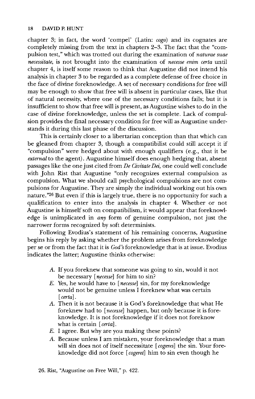chapter 3; in fact, the word 'compel' (Latin: *cogo)* and its cognates are completely missing from the text in chapters 2-3. The fact that the "compulsion test," which was trotted out during the examination of *naturae suae necessitate,* is not brought into the examination of *necesse enim certa* until chapter 4, is itself some reason to think that Augustine did not intend his analysis in chapter 3 to be regarded as a complete defense of free choice in the face of divine foreknowledge. A set of necessary conditions for free will may be enough to show that free will is absent in particular cases, like that of natural necessity, where one of the necessary conditions fails; but it is insufficient to show that free will is present, as Augustine wishes to do in the case of divine foreknowledge, unless the set is complete. Lack of compulsion provides the final necessary condition for free will as Augustine understands it during this last phase of the discussion.

This is certainly closer to a libertarian conception than that which can be gleaned from chapter 3, though a compatibilist could still accept it if "compulsion" were hedged about with enough qualifiers (e.g., that it be *external* to the agent). Augustine himself does enough hedging that, absent passages like the one just cited from *De CivitateDei,* one could well conclude with John Rist that Augustine "only recognizes external compulsion as compulsion. What we should call psychological compulsions are not compulsions for Augustine. They are simply the individual working out his own nature."<sup>26</sup> But even if this is largely true, there is no opportunity for such a qualification to enter into the analysis in chapter 4. Whether or not Augustine is himself soft on compatibilism, it would appear that foreknowledge is unimplicated in *any* form of genuine compulsion, not just the narrower forms recognized by soft determinists.

Following Evodius's statement of his remaining concerns, Augustine begins his reply by asking whether the problem arises from foreknowledge per se or from the fact that it is *God's* foreknowledge that is at issue. Evodius indicates the latter; Augustine thinks otherwise:

- *A.* If you foreknew that someone was going to sin, would it not be necessary *[necesse]* for him to sin?
- *E.* Yes, he would have to *[necesse]* sin, for my foreknowledge would not be genuine unless I foreknew what was certain *[certa].*
- *A.* Then it is not because it is God's foreknowledge that what He foreknew had to *[necesse]* happen, but only because it is foreknowledge. It is not foreknowledge if it does not foreknow what is certain [ *certa]*.
- *E.* I agree. But why are you making these points?
- A. Because unless I am mistaken, your foreknowledge that a man will sin does not of itself necessitate *[cogeres]* the sin. Your foreknowledge did not force [ *cogeret]* him to sin even though he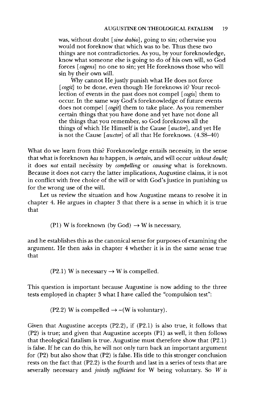was, without doubt *[sine dubio],* going to sin; otherwise you would not foreknow that which was to be. Thus these two things are not contradictories. As you, by your foreknowledge, know what someone else is going to do of his own will, so God forces *[cogens]* no one to sin; yet He foreknows those who will sin by their own will.

Why cannot He justly punish what He does not force *[cogit]* to be done, even though He foreknows it? Your recollection of events in the past does not compel [ *cogis]* them to occur. In the same way God's foreknowledge of future events does not compel *[cogit]* them to take place. As you remember certain things that you have done and yet have not done all the things that you remember, so God foreknows all the things of which He Himself is the Cause *[auctor],* and yet He is not the Cause *[auctor]* of all that He foreknows. (4.38-40)

What do we learn from this? Foreknowledge entails necessity, in the sense that what is foreknown *has to* happen, is *certain,* and will occur *without doubt;* it does *not* entail necessity by *compelling* or *causing* what is foreknown. Because it does not carry the latter implications, Augustine claims, it is not in conflict with free choice of the will or with God's justice in punishing us for the wrong use of the will.

Let us review the situation and how Augustine means to resolve it in chapter 4. He argues in chapter 3 that there is a sense in which it is true that

(P1) W is foreknown (by God)  $\rightarrow$  W is necessary,

and he establishes this as the canonical sense for purposes of examining the argument. He then asks in chapter 4 whether it is in the same sense true that

 $(P2.1)$  W is necessary  $\rightarrow$  W is compelled.

This question is important because Augustine is now adding to the three tests employed in chapter 3 what I have called the "compulsion test":

(P2.2) W is compelled  $\rightarrow \sim(W$  is voluntary).

Given that Augustine accepts (P2.2), if (P2.1) is also true, it follows that (P2) is true; and given that Augustine accepts (PI) as well, it then follows that theological fatalism is true. Augustine must therefore show that (P2.1) is false. If he can do this, he will not only turn back an important argument for (P2) but also show that (P2) is false. His title to this stronger conclusion rests on the fact that (P2.2) is the fourth and last in a series of tests that are severally necessary and *jointly sufficient* for W being voluntary. So *W is*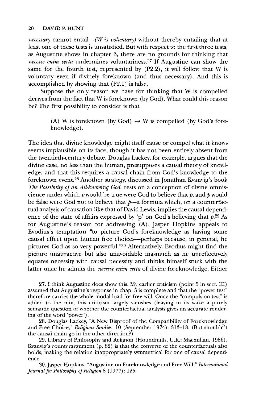*necessary* cannot entail *~(W is voluntary)* without thereby entailing that at least one of these tests is unsatisfied. But with respect to the first three tests, as Augustine shows in chapter 3, there are no grounds for thinking that *necesse enim certa* undermines voluntariness.<sup>27</sup> If Augustine can show the same for the fourth test, represented by (P2.2), it will follow that W is voluntary even if divinely foreknown (and thus necessary). And this is accomplished by showing that (P2.1) is false.

Suppose the only reason we have for thinking that W is compelled derives from the fact that W is foreknown (by God). What could this reason be? The first possibility to consider is that

> (A) W is foreknown (by God)  $\rightarrow$  W is compelled (by God's foreknowledge) .

The idea that divine knowledge might itself cause or compel what it knows seems implausible on its face, though it has not been entirely absent from the twentieth-century debate. Douglas Lackey, for example, argues that the divine case, no less than the human, presupposes a causal theory of knowledge, and that this requires a causal chain from God's knowledge to the foreknown event.<sup>28</sup> Another strategy, discussed in Jonathan Kvanvig's book *The Possibility of an All-knowing God,* rests on a conception of divine omniscience under which *p* would be true were God to believe that *p,* and *p* would be false were God not to believe that *p*—a formula which, on a counterfactual analysis of causation like that of David Lewis, implies the causal dependence of the state of affairs expressed by 'p' on God's believing that *p. <sup>29</sup>* As for Augustine's reason for addressing  $(A)$ , Jasper Hopkins appeals to Evodius's temptation "to picture God's foreknowledge as having some causal effect upon human free choices—perhaps because, in general, he pictures God as so very powerful."<sup>30</sup> Alternatively, Evodius might find the picture unattractive but also unavoidable inasmuch as he unreflectively equates necessity with causal necessity and thinks himself stuck with the latter once he admits the *necesse enim certa* of divine foreknowledge. Either

27. I think Augustine does show this. My earlier criticism (point 5 in sect. Ill) assumed that Augustine's response in chap.  $\hat{3}$  is complete and that the "power test" therefore carries the whole modal load for free will. Once the "compulsion test" is added to the mix, this criticism largely vanishes (leaving in its wake a purely semantic question of whether the counterfactual analysis gives an accurate rendering of the word 'power').

28. Douglas Lackey, "A New Disproof of the Compatibility of Foreknowledge and Free Choice," *Religious Studies* 10 (September 1974): 313-18. (But shouldn't the causal chain go in the other direction?)

29. Library of Philosophy and Religion (Houndmills, U.K.: Macmillan, 1986). Kvanvig's counterargument (p. 82) is that the converse of the counterfactuals also holds, making the relation inappropriately symmetrical for one of causal dependence.

30. Jasper Hopkins, "Augustine on Foreknowledge and Free Will," *International Journal for Philosophy of Religion* 8 (1977): 125.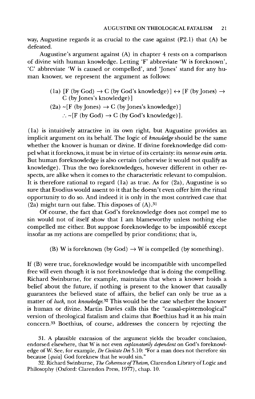way, Augustine regards it as crucial to the case against (P2.1) that (A) be defeated.

Augustine's argument against (A) in chapter 4 rests on a comparison of divine with human knowledge. Letting 'F' abbreviate 'W is foreknown', 'C' abbreviate 'W is caused or compelled', and 'Jones' stand for any hu man knower, we represent the argument as follows:

- (1a)  $[F (by God) \rightarrow C (by God's knowledge)] \leftrightarrow [F (by Jones) \rightarrow$ C (by Jones's knowledge)]
- $(2a) \sim [F$  (by Jones)  $\rightarrow C$  (by Jones's knowledge)]
	- $\therefore \sim [F \text{ (by God)} \rightarrow C \text{ (by God's knowledge)}].$

(la) is intuitively attractive in its own right, but Augustine provides an implicit argument on its behalf. The logic of *knowledge* should be the same whether the knower is human or divine. If divine foreknowledge did compel what it foreknows, it must be in virtue of its certainty: its *necesse enim certa.* But human foreknowledge is also certain (otherwise it would not qualify as knowledge). Thus the two foreknowledges, however different in other re spects, are alike when it comes to the characteristic relevant to compulsion. It is therefore rational to regard  $(1a)$  as true. As for  $(2a)$ , Augustine is so sure that Evodius would assent to it that he doesn't even offer him the ritual opportunity to do so. And indeed it is only in the most contrived case that  $(2a)$  might turn out false. This disposes of  $(A).<sup>31</sup>$ 

Of course, the fact that God's foreknowledge does not compel me to sin would not of itself show that I am blameworthy unless nothing else compelled me either. But suppose foreknowledge to be impossible except insofar as my actions are compelled by prior conditions; that is,

(B) W is foreknown (by God)  $\rightarrow$  W is compelled (by something).

If (B) were true, foreknowledge would be incompatible with uncompelled free will even though it is not foreknowledge that is doing the compelling. Richard Swinburne, for example, maintains that when a knower holds a belief about the future, if nothing is present to the knower that causally guarantees the believed state of affairs, the belief can only be true as a matter of *luck,* not *knowledge.<sup>52</sup>* This would be the case whether the knower is human or divine. Martin Davies calls this the "causal-epistemological" version of theological fatalism and claims that Boethius had it as his main concern. 3 3 Boethius, of course, addresses the concern by rejecting the

32. Richard Swinburne, *The Coherence of Theism,* Clarendon Library of Logic and Philosophy (Oxford: Clarendon Press, 1977), chap. 10.

<sup>31.</sup> A plausible extension of the argument yields the broader conclusion, endorsed elsewhere, that W is not even *explanatorily dependent* on God's foreknowl edge of W. See, for example, *De CivitateDei* 5.10: "For a man does not therefore sin because *[quia]* God foreknew that he would sin."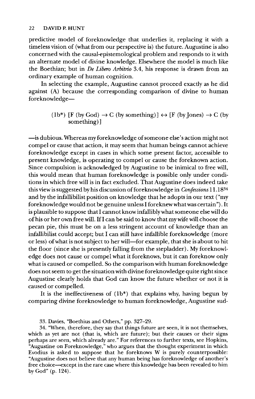predictive model of foreknowledge that underlies it, replacing it with a timeless vision of (what from our perspective is) the future. Augustine is also concerned with the causal-epistemological problem and responds to it with an alternate model of divine knowledge. Elsewhere the model is much like the Boethian; but in *De Libero Arbitήo* 3.4, his response is drawn from an ordinary example of human cognition.

In selecting the example, Augustine cannot proceed exactly as he did against  $(A)$  because the corresponding comparison of divine to human foreknowledge—

> $(lb*)$  [F (by God)  $\rightarrow$  C (by something)]  $\leftrightarrow$  [F (by Jones)  $\rightarrow$  C (by something) ]

—is dubious. Whereas my foreknowledge of someone else's action might not compel or cause that action, it may seem that human beings cannot achieve foreknowledge except in cases in which some present factor, accessible to present knowledge, is operating to compel or cause the foreknown action. Since compulsion is acknowledged by Augustine to be inimical to free will, this would mean that human foreknowledge is possible only under condi tions in which free will is in fact excluded. That Augustine does indeed take this view is suggested by his discussion of foreknowledge in *Confessions* 11.18<sup>34</sup> and by the infallibilist position on knowledge that he adopts in our text ("my foreknowledge would not be genuine unless I foreknew what was certain"). It is plausible to suppose that I cannot know infallibly what someone else will do of his or her own free will. If I can be said to know that my wife will choose the pecan pie, this must be on a less stringent account of knowledge than an infallibilist could accept; but I can still have infallible foreknowledge (more or less) of what is not subject to her will—for example, that she is about to hit the floor (since she is presently falling from the stepladder). My foreknowl edge does not cause or compel what it foreknows, but it can foreknow only what is caused or compelled. So the comparison with human foreknowledge does not seem to get the situation with divine foreknowledge quite right since Augustine clearly holds that God can know the future whether or not it is caused or compelled.

It is the ineffectiveness of (lb\*) that explains why, having begun by comparing divine foreknowledge to human foreknowledge, Augustine sud

<sup>33.</sup> Davies, "Boethius and Others," pp. 327-29.

<sup>34. &</sup>quot;When, therefore, they say that things future are seen, it is not themselves, which as yet are not (that is, which are future); but their causes or their signs perhaps are seen, which already are." For references to further texts, see Hopkins, "Augustine on Foreknowledge," who argues that the thought experiment in which Evodius is asked to suppose that he foreknows W is purely counterpossible: "Augustine does not believe that any human being has foreknowledge of another's free choice—except in the rare case where this knowledge has been revealed to him by God" (p. 124).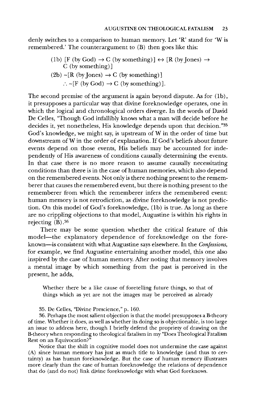denly switches to a comparison to human memory. Let 'R' stand for 'W is remembered.' The counterargument to (B) then goes like this:

\n- (1b) [F (by God) → C (by something)] 
$$
\leftrightarrow
$$
 [R (by Jones) → C (by something)]
\n- (2b) ~[R (by Jones) → C (by something)]
\n- ∴ ~[F (by God) → C (by something)].
\n

The second premise of the argument is again beyond dispute. As for (lb), it presupposes a particular way that divine foreknowledge operates, one in which the logical and chronological orders diverge. In the words of David De Celles, 'Though God infallibly knows what a man will decide before he decides it, yet nonetheless, His knowledge depends upon that decision."<sup>35</sup> God's knowledge, we might say, is upstream of W in the order of time but downstream of W in the order of explanation. If God's beliefs about future events depend on those events, His beliefs may be accounted for inde pendently of His awareness of conditions causally determining the events. In that case there is no more reason to assume causally necessitating conditions than there is in the case of human memories, which also depend on the remembered events. Not only is there nothing present to the remem berer that causes the remembered event, but there is nothing present to the rememberer from which the rememberer infers the remembered event: human memory is not retrodiction, as divine foreknowledge is not predic tion. On this model of God's foreknowledge, (lb) is true. As long as there are no crippling objections to that model, Augustine is within his rights in rejecting  $(B)$ . 36

There may be some question whether the critical feature of this model—the explanatory dependence of foreknowledge on the fore known—is consistent with what Augustine says elsewhere. In the *Confessions,* for example, we find Augustine entertaining another model, this one also inspired by the case of human memory. After noting that memory involves a mental image by which something from the past is perceived in the present, he adds,

Whether there be a like cause of foretelling future things, so that of things which as yet are not the images may be perceived as already

35. De Celles, "Divine Prescience," p. 160.

36. Perhaps the most salient objection is that the model presupposes a B-theory of time. Whether it does, as well as whether its doing so is objectionable, is too large an issue to address here, though I briefly defend the propriety of drawing on the B-theory when responding to theological fatalism in my "Does Theological Fatalism Rest on an Equivocation?"

Notice that the shift in cognitive model does not undermine the case against (A) since human memory has just as much title to knowledge (and thus to certainty) as has human foreknowledge. But the case of human memory illustrates more clearly than the case of human foreknowledge the relations of dependence that do (and do not) link divine foreknowledge with what God foreknows.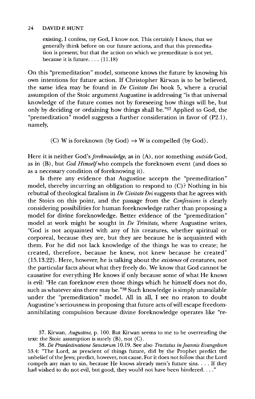### 24 DAVID P. HUNT

existing, I confess, my God, I know not. This certainly I know, that we generally think before on our future actions, and that this premedita tion is present; but that the action on which we premeditate is not yet, because it is future. . . . (11.18)

On this "premeditation" model, someone knows the future by knowing his own intentions for future action. If Christopher Kirwan is to be believed, the same idea may be found in *De Civitate Dei* book 5, where a crucial assumption of the Stoic argument Augustine is addressing "is that universal knowledge of the future comes not by foreseeing how things will be, but only by deciding or ordaining how things shall be."<sup>37</sup> Applied to God, the "premeditation" model suggests a further consideration in favor of (P2.1), namely,

(C) W is foreknown (by God)  $\rightarrow$  W is compelled (by God).

Here it is neither God's *foreknowledge,* as in (A), nor something *outside* God, as in (B), but *God Himself who* compels the foreknown event (and does so as a necessary condition of foreknowing it).

Is there any evidence that Augustine accepts the "premeditation" model, thereby incurring an obligation to respond to (C)? Nothing in his rebuttal of theological fatalism in *De CivitateDei* suggests that he agrees with the Stoics on this point, and the passage from the *Confessions* is clearly considering possibilities for human foreknowledge rather than proposing a model for divine foreknowledge. Better evidence of the "premeditation" model at work might be sought in *De Trinitate*, where Augustine writes, "God is not acquainted with any of his creatures, whether spiritual or corporeal, because they are, but they are because he is acquainted with them. For he did not lack knowledge of the things he was to create; he created, therefore, because he knew, not knew because he created" (15.13.22). Here, however, he is talking about the *existence* of creatures, not the particular facts about what they freely do. We know that God cannot be causative for everything He knows if only because some of what He knows is evil: Ήe can foreknow even those things which he himself does not do, such as whatever sins there may be."<sup>38</sup> Such knowledge is simply unavailable under the "premeditation" model. All in all, I see no reason to doubt Augustine's seriousness in proposing that future acts of will escape freedom annihilating compulsion because divine foreknowledge operates like "re

37. Kirwan, *Augustine,* p. 100. But Kirwan seems to me to be overreading the text: the Stoic assumption is surely (B), not (C).

38. *De Praedestinatione Sanctorum* 10.19. See also *Tractatus in foannis Evangelium* 53.4: "The Lord, as prescient of things future, did by the Prophet predict the unbelief of the Jews; predict, however, not cause. For it does not follow that the Lord compels any man to sin, because He knows already men's future sins. .. . If they had wished to do not evil, but good, they would not have been hindered. ..."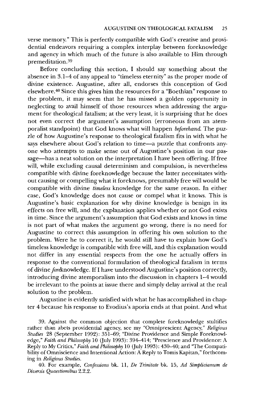verse memory." This is perfectly compatible with God's creative and provi dential endeavors requiring a complex interplay between foreknowledge and agency in which much of the future is also available to Him through premeditation.<sup>39</sup>

Before concluding this section, I should say something about the absence in 3.1-4 of any appeal to "timeless eternity" as the proper mode of divine existence. Augustine, after all, endorses this conception of God elsewhere.<sup>40</sup> Since this gives him the resources for a "Boethian" response to the problem, it may seem that he has missed a golden opportunity in neglecting to avail himself of those resources when addressing the argu ment for theological fatalism; at the very least, it is surprising that he does not even correct the argument's assumption (erroneous from an atem poralist standpoint) that God knows what will happen *beforehand.* The puz zle of how Augustine's response to theological fatalism fits in with what he says elsewhere about God's relation to time—a puzzle that confronts anyone who attempts to make sense out of Augustine's position in our pas sage—has a neat solution on the interpretation I have been offering. If free will, while excluding causal determinism and compulsion, is nevertheless compatible with divine foreknowledge because the latter necessitates with out causing or compelling what it foreknows, presumably free will would be compatible with divine *timeless* knowledge for the same reason. In either case, God's knowledge does not cause or compel what it knows. This is Augustine's basic explanation for why divine knowledge is benign in its effects on free will, and the explanation applies whether or not God exists in time. Since the argument's assumption that God exists and knows in time is not part of what makes the argument go wrong, there is no need for Augustine to correct this assumption in offering his own solution to the problem. Were he to correct it, he would still have to explain how God's timeless knowledge is compatible with free will, and this explanation would not differ in any essential respects from the one he actually offers in response to the conventional formulation of theological fatalism in terms of divine *foreknowledge*. If I have understood Augustine's position correctly, introducing divine atemporalism into the discussion in chapters 1-4 would be irrelevant to the points at issue there and simply delay arrival at the real solution to the problem.

Augustine is evidently satisfied with what he has accomplished in chap ter 4 because his response to Evodius's aporia ends at that point. And what

39. Against the common objection that complete foreknowledge stultifies rather than abets providential agency, see my Όmniprescient Agency," *Religious Studies* 28 (September 1992): 351-69; "Divine Providence and Simple Foreknowl edge," *Faith and Philosophy* 10 (July 1993): 394-414; "Prescience and Providence: A Reply to My Critics," *Faith and Philosophy* 10 (July 1993): 430-40; and "The Compati bility of Omniscience and Intentional Action: A Reply to Tomis Kapitan," forthcom ing in *Religious Studies.*

40. For example, *Confessions* bk. 11, *De Trinitate* bk. 15, *Ad Simplicianum de Diversis Quaestionibus* 2.2.2.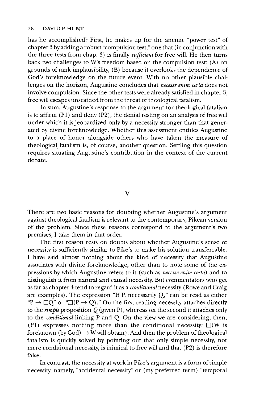has he accomplished? First, he makes up for the anemic "power test" of chapter 3 by adding a robust "compulsion test," one that (in conjunction with the three tests from chap. 3) is finally *sufficient* for free will. He then turns back two challenges to W's freedom based on the compulsion test: (A) on grounds of rank implausibility, (B) because it overlooks the dependence of God's foreknowledge on the future event. With no other plausible challenges on the horizon, Augustine concludes that *necesse enim certa* does not involve compulsion. Since the other tests were already satisfied in chapter 3, free will escapes unscathed from the threat of theological fatalism.

In sum, Augustine's response to the argument for theological fatalism is to affirm (PI) and deny (P2), the denial resting on an analysis of free will under which it is jeopardized only by a necessity stronger than that generated by divine foreknowledge. Whether this assessment entitles Augustine to a place of honor alongside others who have taken the measure of theological fatalism is, of course, another question. Settling this question requires situating Augustine's contribution in the context of the current debate.

# **V**

There are two basic reasons for doubting whether Augustine's argument against theological fatalism is relevant to the contemporary, Pikean version of the problem. Since these reasons correspond to the argument's two premises, I take them in that order.

The first reason rests on doubts about whether Augustine's sense of necessity is sufficiently similar to Pike's to make his solution transferrable. I have said almost nothing about the kind of necessity that Augustine associates with divine foreknowledge, other than to note some of the expressions by which Augustine refers to it (such as *necesse enim certa)* and to distinguish it from natural and causal necessity. But commentators who get as far as chapter 4 tend to regard it as a *conditional* necessity (Rowe and Craig are examples). The expression "If P, necessarily Q," can be read as either "P  $\rightarrow \Box Q$ " or " $\Box (P \rightarrow Q)$ ." On the first reading necessity attaches directly to the  $\sinh\theta$  proposition  $Q$  (given P), whereas on the second it attaches only to the *conditional* linking P and Q. On the view we are considering, then, (P1) expresses nothing more than the conditional necessity:  $\Box(W)$  is foreknown (by  $God) \rightarrow W$  will obtain). And then the problem of theological fatalism is quickly solved by pointing out that only simple necessity, not mere conditional necessity, is inimical to free will and that (P2) is therefore false.

In contrast, the necessity at work in Pike's argument is a form of simple necessity, namely, "accidental necessity" or (my preferred term) "temporal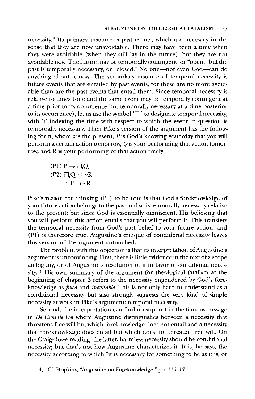necessity." Its primary instance is past events, which are necesary in the sense that they are now unavoidable. There may have been a time when they were avoidable (when they still lay in the future), but they are not avoidable now. The future may be temporally contingent, or "open," but the past is temporally necessary, or "closed." No one—not even God—can do anything about it now. The secondary instance of temporal necessity is future events that are entailed by past events, for these are no more avoid able than are the past events that entail them. Since temporal necessity is relative to times (one and the same event may be temporally contingent at a time prior to its occurrence but temporally necessary at a time posterior to its occurrence), let us use the symbol ' $\Box_{\mathfrak t}$ ' to designate temporal necessity, with 't' indexing the time with respect to which the event in question is temporally necessary. Then Pike's version of the argument has the follow ing form, where *t* is the present, *P* is God's knowing yesterday that you will perform a certain action tomorrow,  $\overline{Q}$  is your performing that action tomor row, and  $R$  is your performing of that action freely:

> (P1)  $P \rightarrow \Box_t Q$  $(P2) \square Q \rightarrow \sim R$  $\therefore P \rightarrow \sim R$ .

Pike's reason for thinking (PI) to be true is that God's foreknowledge of your future action belongs to the past and so is temporally necessary relative to the present; but since God is essentially omniscient, His believing that you will perform this action entails that you will perform it. This transfers the temporal necessity from God's past belief to your future action, and (PI) is therefore true. Augustine's critique of conditional necessity leaves this version of the argument untouched.

The problem with this objection is that its interpretation of Augustine's argument is unconvincing. First, there is little evidence in the text of a scope ambiguity, or of Augustine's resolution of it in favor of conditional neces sity.<sup>41</sup> His own summary of the argument for theological fatalism at the beginning of chapter 3 refers to the necessity engendered by God's fore knowledge as *fixed* and *inevitable.* This is not only hard to understand as a conditional necessity but also strongly suggests the very kind of simple necessity at work in Pike's argument: temporal necessity.

Second, the interpretation can find no support in the famous passage in *De Civitate Dei* where Augustine distinguishes between a necessity that threatens free will but which foreknowledge does not entail and a necessity that foreknowledge does entail but which does not threaten free will. On the Craig-Rowe reading, the latter, harmless necessity should be conditional necessity; but that's not how Augustine characterizes it. It is, he says, the necessity according to which "it is necessary for something to be as it is, or

41. Cf. Hopkins, "Augustine on Foreknowledge," pp. 116-17.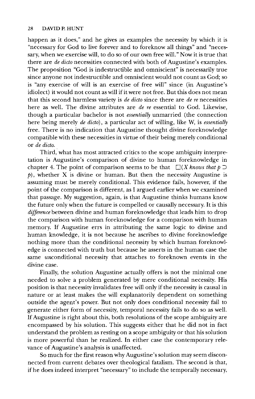happen as it does," and he gives as examples the necessity by which it is "necessary for God to live forever and to foreknow all things" and "necessary, when we exercise will, to do so of our own free will." Now it is true that there are *de dicto* necessities connected with both of Augustine's examples. The proposition "God is indestructible and omniscient" is necessarily true since anyone not indestructible and omniscient would not count as God; so is "any exercise of will is an exercise of free will" since (in Augustine's idiolect) it would not count as will if it were not free. But this does not mean that this second harmless variety is *de dicto* since there are *de re* necessities here as well. The divine attributes are *de re* essential to God. Likewise, though a particular bachelor is not *essentially* unmarried (the connection here being merely *de dicto)*, a particular act of willing, like W, is *essentially* free. There is no indication that Augustine thought divine foreknowledge compatible with these necessities in virtue of their being merely conditional or *de dicto.*

Third, what has most attracted critics to the scope ambiguity interpretation is Augustine's comparison of divine to human foreknowledge in chapter 4. The point of comparison seems to be that  $\Box(X$  knows that  $p \Box$ *p),* whether X is divine or human. But then the necessity Augustine is assuming must be merely conditional. This evidence fails, however, if the point of the comparison is different, as I argued earlier when we examined that passage. My suggestion, again, is that Augustine thinks humans know the future only when the future is compelled or causally necessary. It is this *difference* between divine and human foreknowledge that leads him to drop the comparison with human foreknowledge for a comparison with human memory. If Augustine errs in attributing the same logic to divine and human knowledge, it is not because he ascribes to divine foreknowledge nothing more than the conditional necessity by which human foreknowledge is connected with truth but because he asserts in the human case the same *unconditional necessity that attaches to foreknown events in the* divine case.

Finally, the solution Augustine actually offers is not the minimal one needed to solve a problem generated by mere conditional necessity. His position is that necessity invalidates free will only if the necessity is causal in nature or at least makes the will explanatorily dependent on something outside the agent's power. But not only does conditional necessity fail to generate either form of necessity, temporal necessity fails to do so as well. If Augustine is right about this, both resolutions of the scope ambiguity are encompassed by his solution. This suggests either that he did not in fact understand the problem as resting on a scope ambiguity or that his solution is more powerful than he realized. In either case the contemporary relevance of Augustine's analysis is unaffected.

So much for the first reason why Augustine's solution may seem disconnected from current debates over theological fatalism. The second is that, if he does indeed interpret "necessary" to include the temporally necessary,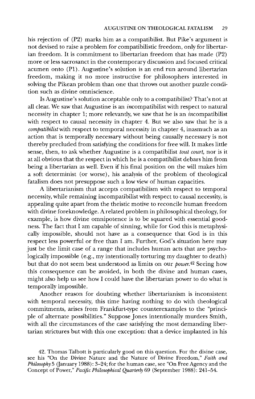his rejection of (P2) marks him as a compatibilist. But Pike's argument is not devised to raise a problem for compatibilistic freedom, only for libertar ian freedom. It is commitment to libertarian freedom that has made (P2) more or less sacrosanct in the contemporary discussion and focused critical acumen onto (PI). Augustine's solution is an end run around libertarian freedom, making it no more instructive for philosophers interested in solving the Pikean problem than one that throws out another puzzle condi tion such as divine omniscience.

Is Augustine's solution acceptable only to a compatibilist? That's not at all clear. We saw that Augustine is an *incompatibilist* with respect to natural necessity in chapter 1; more relevantly, we saw that he is an *incompatibilist* with respect to causal necessity in chapter 4. But we also saw that he is a *compatibilist* with respect to temporal necessity in chapter 4, inasmuch as an action that is temporally necessary without being causally necessary is not thereby precluded from satisfying the conditions for free will. It makes little sense, then, to ask whether Augustine is a compatibilist *tout court,* nor is it at all obvious that the respect in which he is a compatibilist debars him from being a libertarian as well. Even if his final position on the will makes him a soft determinist (or worse), his analysis of the problem of theological fatalism does not presuppose such a low view of human capacities.

A libertarianism that accepts compatibilism with respect to temporal necessity, while remaining incompatibilist with respect to causal necessity, is appealing quite apart from the theistic motive to reconcile human freedom with divine foreknowledge. A related problem in philosophical theology, for example, is how divine omnipotence is to be squared with essential goodness. The fact that I am capable of sinning, while for God this is metaphysi cally impossible, should not have as a consequence that God is in this respect less powerful or free than I am. Further, God's situation here may just be the limit case of a range that includes human acts that are psycho logically impossible (e.g., my intentionally torturing my daughter to death) but that do not seem best understood as limits on our *power*.<sup>42</sup> Seeing how this consequence can be avoided, in both the divine and human cases, might also help us see how I could have the libertarian power to do what is temporally impossible.

Another reason for doubting whether libertarianism is inconsistent with temporal necessity, this time having nothing to do with theological commitments, arises from Frankfurt-type counterexamples to the "princi ple of alternate possibilities." Suppose Jones intentionally murders Smith, with all the circumstances of the case satisfying the most demanding libertarian strictures but with this one exception: that a device implanted in his

<sup>42.</sup> Thomas Talbott is particularly good on this question. For the divine case, see his "On the Divine Nature and the Nature of Divine Freedom," Faith and *Philosophy* 5 (January 1988): 3-24; for the human case, see "On Free Agency and the Concept of Power," *Pacific Philosophical Quarterly* 69 (September 1988): 241-54.